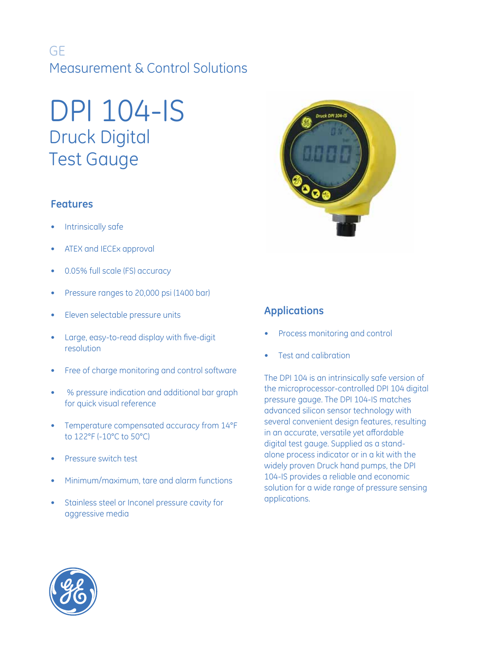## GE Measurement & Control Solutions

# DPI 104-IS Druck Digital Test Gauge

## **Features**

- Intrinsically safe
- ATEX and IECEx approval
- 0.05% full scale (FS) accuracy
- Pressure ranges to 20,000 psi (1400 bar)
- Eleven selectable pressure units
- Large, easy-to-read display with five-digit resolution
- Free of charge monitoring and control software
- % pressure indication and additional bar graph for quick visual reference
- Temperature compensated accuracy from 14°F to 122°F (-10°C to 50°C)
- Pressure switch test
- Minimum/maximum, tare and alarm functions
- Stainless steel or Inconel pressure cavity for aggressive media



## **Applications**

- Process monitoring and control
- Test and calibration

The DPI 104 is an intrinsically safe version of the microprocessor-controlled DPI 104 digital pressure gauge. The DPI 104-IS matches advanced silicon sensor technology with several convenient design features, resulting in an accurate, versatile yet affordable digital test gauge. Supplied as a standalone process indicator or in a kit with the widely proven Druck hand pumps, the DPI 104-IS provides a reliable and economic solution for a wide range of pressure sensing applications.

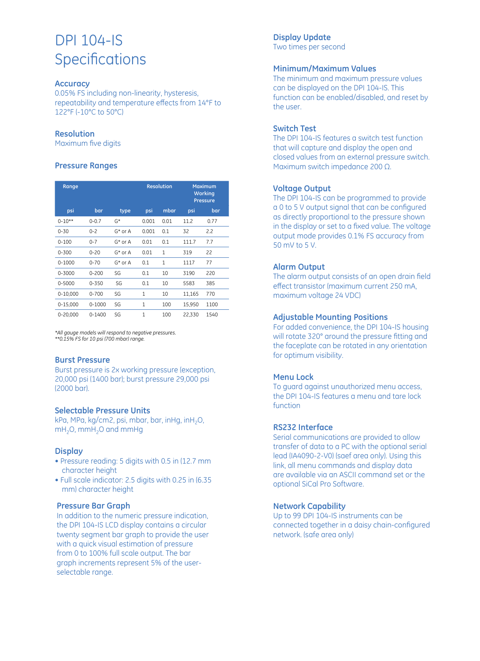## DPI 104-IS **Specifications**

#### **Accuracy**

0.05% FS including non-linearity, hysteresis, repeatability and temperature effects from 14°F to 122°F (-10°C to 50°C)

#### **Resolution**

Maximum five digits

#### **Pressure Ranges**

| Range        |            |            | <b>Resolution</b> |              | <b>Maximum</b><br><b>Working</b><br><b>Pressure</b> |      |
|--------------|------------|------------|-------------------|--------------|-----------------------------------------------------|------|
| psi          | bar        | type       | psi               | mbar         | psi                                                 | bar  |
| $0 - 10**$   | $0 - 0.7$  | $G^*$      | 0.001             | 0.01         | 11.2                                                | 0.77 |
| $0 - 30$     | $0 - 2$    | $G^*$ or A | 0.001             | 0.1          | 32                                                  | 2.2  |
| $0 - 100$    | $0 - 7$    | $G^*$ or A | 0.01              | 0.1          | 111.7                                               | 7.7  |
| $0 - 300$    | $0 - 20$   | $G^*$ or A | 0.01              | 1            | 319                                                 | 22   |
| $0 - 1000$   | $0 - 70$   | $G^*$ or A | 0.1               | $\mathbf{1}$ | 1117                                                | 77   |
| 0-3000       | $0 - 200$  | SG         | 0.1               | 10           | 3190                                                | 220  |
| 0-5000       | $0 - 350$  | SG         | 0.1               | 10           | 5583                                                | 385  |
| $0 - 10,000$ | $0 - 700$  | SG         | 1                 | 10           | 11,165                                              | 770  |
| $0 - 15,000$ | $0 - 1000$ | SG         | 1                 | 100          | 15,950                                              | 1100 |
| $0 - 20,000$ | 0-1400     | SG         | 1                 | 100          | 22,330                                              | 1540 |

*\*All gauge models will respond to negative pressures. \*\*0.15% FS for 10 psi (700 mbar) range.*

#### **Burst Pressure**

Burst pressure is 2x working pressure (exception, 20,000 psi (1400 bar); burst pressure 29,000 psi (2000 bar).

#### **Selectable Pressure Units**

kPa, MPa, kg/cm2, psi, mbar, bar, inHg, inH2O, mH<sub>2</sub>O, mmH<sub>2</sub>O and mmHg

#### **Display**

- Pressure reading: 5 digits with 0.5 in (12.7 mm character height
- Full scale indicator: 2.5 digits with 0.25 in (6.35 mm) character height

#### **Pressure Bar Graph**

In addition to the numeric pressure indication, the DPI 104-IS LCD display contains a circular twenty segment bar graph to provide the user with a quick visual estimation of pressure from 0 to 100% full scale output. The bar graph increments represent 5% of the userselectable range.

#### **Display Update**

Two times per second

#### **Minimum/Maximum Values**

The minimum and maximum pressure values can be displayed on the DPI 104-IS. This function can be enabled/disabled, and reset by the user.

#### **Switch Test**

The DPI 104-IS features a switch test function that will capture and display the open and closed values from an external pressure switch. Maximum switch impedance 200 Ω.

#### **Voltage Output**

The DPI 104-IS can be programmed to provide a 0 to 5 V output signal that can be configured as directly proportional to the pressure shown in the display or set to a fixed value. The voltage output mode provides 0.1% FS accuracy from 50 mV to 5 V.

#### **Alarm Output**

The alarm output consists of an open drain field effect transistor (maximum current 250 mA, maximum voltage 24 VDC)

#### **Adjustable Mounting Positions**

For added convenience, the DPI 104-IS housing will rotate 320° around the pressure fitting and the faceplate can be rotated in any orientation for optimum visibility.

#### **Menu Lock**

To guard against unauthorized menu access, the DPI 104-IS features a menu and tare lock function

#### **RS232 Interface**

Serial communications are provided to allow transfer of data to a PC with the optional serial lead (IA4090-2-V0) (saef area only). Using this link, all menu commands and display data are available via an ASCII command set or the optional SiCal Pro Software.

#### **Network Capability**

Up to 99 DPI 104-IS instruments can be connected together in a daisy chain-configured network. (safe area only)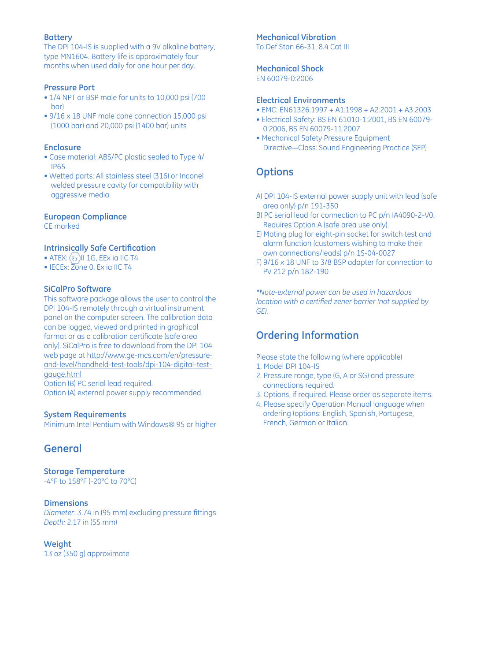#### **Battery**

The DPI 104-IS is supplied with a 9V alkaline battery, type MN1604. Battery life is approximately four months when used daily for one hour per day.

#### **Pressure Port**

- 1/4 NPT or BSP male for units to 10,000 psi (700 bar)
- 9/16 x 18 UNF male cone connection 15,000 psi (1000 bar) and 20,000 psi (1400 bar) units

#### **Enclosure**

- Case material: ABS/PC plastic sealed to Type 4/ IP65
- Wetted parts: All stainless steel (316) or Inconel welded pressure cavity for compatibility with aggressive media.

#### **European Compliance**

CE marked

#### **Intrinsically Safe Certification**

- ATEX:  $(\epsilon_x)$ II 1G, EEx ia IIC T4
- IECEx: Zone 0, Ex ia IIC T4

#### **SiCalPro Software**

This software package allows the user to control the DPI 104-IS remotely through a virtual instrument panel on the computer screen. The calibration data can be logged, viewed and printed in graphical format or as a calibration certificate (safe area only). SiCalPro is free to download from the DPI 104 web page at http://www.ge-mcs.com/en/pressureand-level/handheld-test-tools/dpi-104-digital-testgauge.html

Option (B) PC serial lead required.

Option (A) external power supply recommended.

#### **System Requirements**

Minimum Intel Pentium with Windows® 95 or higher

## **General**

**Storage Temperature**

-4°F to 158°F (-20°C to 70°C)

#### **Dimensions**

*Diameter:* 3.74 in (95 mm) excluding pressure fittings *Depth:* 2.17 in (55 mm)

#### **Weight**

13 oz (350 g) approximate

#### **Mechanical Vibration**

To Def Stan 66-31, 8.4 Cat III

## **Mechanical Shock**

EN 60079-0:2006

#### **Electrical Environments**

- EMC: EN61326:1997 + A1:1998 + A2:2001 + A3:2003
- Electrical Safety: BS EN 61010-1:2001, BS EN 60079- 0:2006, BS EN 60079-11:2007
- Mechanical Safety Pressure Equipment Directive—Class: Sound Engineering Practice (SEP)

## **Options**

- A) DPI 104-IS external power supply unit with lead (safe area only) p/n 191-350
- B) PC serial lead for connection to PC p/n IA4090-2-V0. Requires Option A (safe area use only).
- E) Mating plug for eight-pin socket for switch test and alarm function (customers wishing to make their own connections/leads) p/n 1S-04-0027
- F) 9/16 x 18 UNF to 3/8 BSP adapter for connection to PV 212 p/n 182-190

*\*Note-external power can be used in hazardous location with a certified zener barrier (not supplied by GE).*

## **Ordering Information**

Please state the following (where applicable)

- 1. Model DPI 104-IS
- 2. Pressure range, type (G, A or SG) and pressure connections required.
- 3. Options, if required. Please order as separate items.
- 4. Please specify Operation Manual language when ordering (options: English, Spanish, Portugese, French, German or Italian.